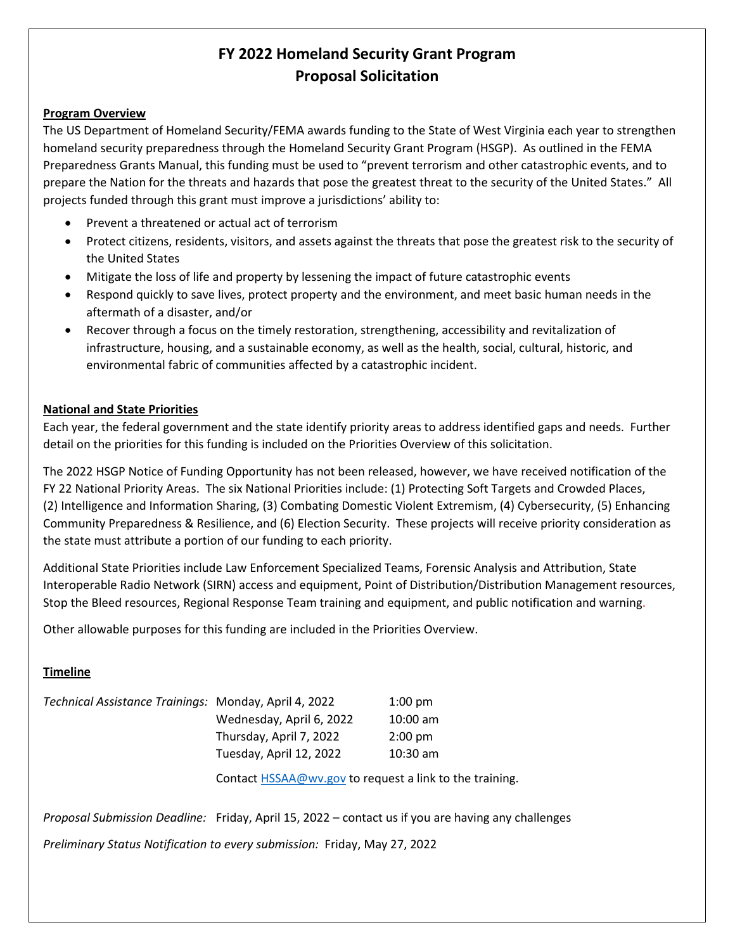# **FY 2022 Homeland Security Grant Program Proposal Solicitation**

#### **Program Overview**

The US Department of Homeland Security/FEMA awards funding to the State of West Virginia each year to strengthen homeland security preparedness through the Homeland Security Grant Program (HSGP). As outlined in the FEMA Preparedness Grants Manual, this funding must be used to "prevent terrorism and other catastrophic events, and to prepare the Nation for the threats and hazards that pose the greatest threat to the security of the United States." All projects funded through this grant must improve a jurisdictions' ability to:

- Prevent a threatened or actual act of terrorism
- Protect citizens, residents, visitors, and assets against the threats that pose the greatest risk to the security of the United States
- Mitigate the loss of life and property by lessening the impact of future catastrophic events
- Respond quickly to save lives, protect property and the environment, and meet basic human needs in the aftermath of a disaster, and/or
- Recover through a focus on the timely restoration, strengthening, accessibility and revitalization of infrastructure, housing, and a sustainable economy, as well as the health, social, cultural, historic, and environmental fabric of communities affected by a catastrophic incident.

# **National and State Priorities**

Each year, the federal government and the state identify priority areas to address identified gaps and needs. Further detail on the priorities for this funding is included on the Priorities Overview of this solicitation.

The 2022 HSGP Notice of Funding Opportunity has not been released, however, we have received notification of the FY 22 National Priority Areas. The six National Priorities include: (1) Protecting Soft Targets and Crowded Places, (2) Intelligence and Information Sharing, (3) Combating Domestic Violent Extremism, (4) Cybersecurity, (5) Enhancing Community Preparedness & Resilience, and (6) Election Security. These projects will receive priority consideration as the state must attribute a portion of our funding to each priority.

Additional State Priorities include Law Enforcement Specialized Teams, Forensic Analysis and Attribution, State Interoperable Radio Network (SIRN) access and equipment, Point of Distribution/Distribution Management resources, Stop the Bleed resources, Regional Response Team training and equipment, and public notification and warning.

Other allowable purposes for this funding are included in the Priorities Overview.

# **Timeline**

| Technical Assistance Trainings: Monday, April 4, 2022 |                          | $1:00 \text{ pm}$ |
|-------------------------------------------------------|--------------------------|-------------------|
|                                                       | Wednesday, April 6, 2022 | $10:00$ am        |
|                                                       | Thursday, April 7, 2022  | $2:00 \text{ pm}$ |
|                                                       | Tuesday, April 12, 2022  | $10:30$ am        |
|                                                       |                          |                   |

Contact [HSSAA@wv.gov](mailto:HSSAA@wv.gov) to request a link to the training.

*Proposal Submission Deadline:* Friday, April 15, 2022 – contact us if you are having any challenges

*Preliminary Status Notification to every submission:* Friday, May 27, 2022